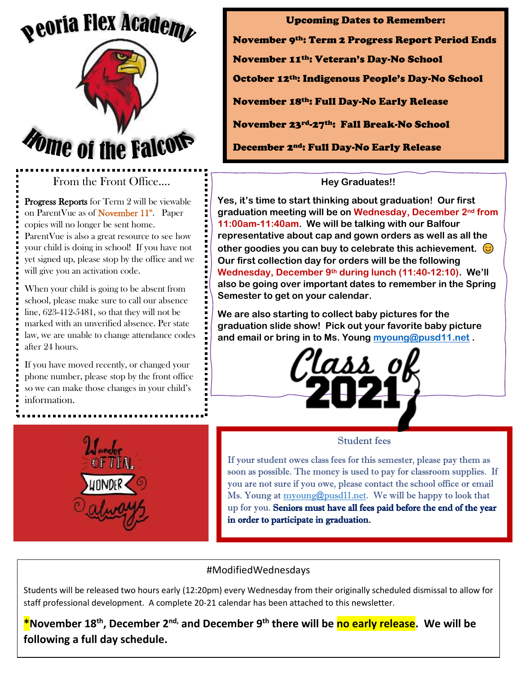## *<u>peoria Flex Academent</u>*



## From the Front Office….

Progress Reports for Term 2 will be viewable on ParentVue as of **November 11<sup>th</sup>**. Paper copies will no longer be sent home. ParentVue is also a great resource to see how your child is doing in school! If you have not yet signed up, please stop by the office and we will give you an activation code.

When your child is going to be absent from school, please make sure to call our absence line, 623-412-5481, so that they will not be marked with an unverified absence. Per state law, we are unable to change attendance codes after 24 hours.

If you have moved recently, or changed your phone number, please stop by the front office so we can make those changes in your child's information.

Upcoming Dates to Remember: November 9th: Term 2 Progress Report Period Ends November 11th: Veteran's Day-No School October 12th: Indigenous People's Day-No School November 18th: Full Day-No Early Release November 23rd-27th: Fall Break-No School December 2nd: Full Day-No Early Release

## **Hey Graduates!!**

**Yes, it's time to start thinking about graduation! Our first graduation meeting will be on Wednesday, December 2nd from 11:00am-11:40am. We will be talking with our Balfour representative about cap and gown orders as well as all the other goodies you can buy to celebrate this achievement. Our first collection day for orders will be the following Wednesday, December 9th during lunch (11:40-12:10). We'll also be going over important dates to remember in the Spring Semester to get on your calendar.** 

**We are also starting to collect baby pictures for the graduation slide show! Pick out your favorite baby picture and email or bring in to Ms. Young [myoung@pusd11.net](mailto:myoung@pusd11.net) .** 





#### Student fees

If your student owes class fees for this semester, please pay them as soon as possible. The money is used to pay for classroom supplies. If you are not sure if you owe, please contact the school office or email Ms. Young at [myoung@pusd11.net.](mailto:myoung@pusd11.net) We will be happy to look that up for you. Seniors must have all fees paid before the end of the year in order to participate in graduation.

## #ModifiedWednesdays

Students will be released two hours early (12:20pm) every Wednesday from their originally scheduled dismissal to allow for staff professional development. A complete 20-21 calendar has been attached to this newsletter.

**\*November 18th, December 2 nd, and December 9th there will be no early release. We will be following a full day schedule.**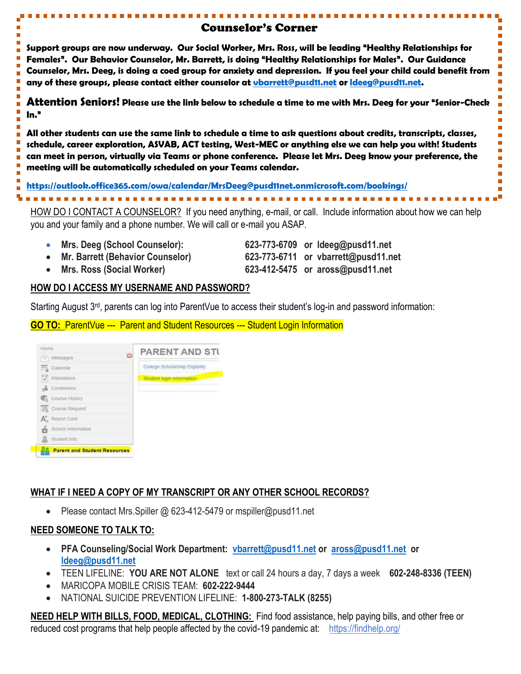## Counselor's Corner

**Support groups are now underway. Our Social Worker, Mrs. Ross, will be leading "Healthy Relationships for Females". Our Behavior Counselor, Mr. Barrett, is doing "Healthy Relationships for Males". Our Guidance Counselor, Mrs. Deeg, is doing a coed group for anxiety and depression. If you feel your child could benefit from any of these groups, please contact either counselor at [vbarrett@pusd11.net](mailto:vbarrett@pusd11.net) or [ldeeg@pusd11.net.](mailto:ldeeg@pusd11.net)** 

**Attention Seniors! Please use the link below to schedule a time to me with Mrs. Deeg for your "Senior-Check In."**

**All other students can use the same link to schedule a time to ask questions about credits, transcripts, classes, schedule, career exploration, ASVAB, ACT testing, West-MEC or anything else we can help you with! Students can meet in person, virtually via Teams or phone conference. Please let Mrs. Deeg know your preference, the meeting will be automatically scheduled on your Teams calendar.**

**<https://outlook.office365.com/owa/calendar/MrsDeeg@pusd11net.onmicrosoft.com/bookings/>**

Ē

÷,

П

n

HOW DO I CONTACT A COUNSELOR? If you need anything, e-mail, or call. Include information about how we can help you and your family and a phone number. We will call or e-mail you ASAP.

- 
- 
- **Mrs. Ross (Social Worker) 623-412-5475 or aross@pusd11.net**

• **Mrs. Deeg (School Counselor): 623-773-6709 or ldeeg@pusd11.net** • **Mr. Barrett (Behavior Counselor) 623-773-6711 or vbarrett@pusd11.net** Ē  $\Box$ 

 $\overline{\phantom{a}}$  $\overline{\phantom{0}}$ 

 $\Box$  $\overline{\phantom{a}}$  $\overline{\phantom{a}}$ Ē  $\Box$  $\Box$ 

### **HOW DO I ACCESS MY USERNAME AND PASSWORD?**

Starting August 3<sup>rd</sup>, parents can log into ParentVue to access their student's log-in and password information:

**GO TO:** ParentVue --- Parent and Student Resources --- Student Login Information

| Home.                               | <b>PARENT AND STI</b>           |
|-------------------------------------|---------------------------------|
| Messages                            | ∞                               |
| a.<br>Calendar                      | College Scholarship Eligibility |
| V<br>Attendance                     | Student login Information       |
| <b>&amp;</b> Conference             |                                 |
| Course History                      |                                 |
| <b>ER</b> Course Request            |                                 |
| Report Card<br>$A_{n}$              |                                 |
| School Information                  |                                 |
| Student Info                        |                                 |
| <b>Parent and Student Resources</b> |                                 |

## **WHAT IF I NEED A COPY OF MY TRANSCRIPT OR ANY OTHER SCHOOL RECORDS?**

• Please contact Mrs. Spiller @ 623-412-5479 or mspiller@pusd11.net

## **NEED SOMEONE TO TALK TO:**

- **PFA Counseling/Social Work Department: [vbarrett@pusd11.net](mailto:vbarrett@pusd11.net) or [aross@pusd11.net](mailto:aross@pusd11.net) or [ldeeg@pusd11.net](mailto:ldeeg@pusd11.net)**
- TEEN LIFELINE: **YOU ARE NOT ALONE** text or call 24 hours a day, 7 days a week **602-248-8336 (TEEN)**
- MARICOPA MOBILE CRISIS TEAM: **602-222-9444**
- NATIONAL SUICIDE PREVENTION LIFELINE: **1-800-273-TALK (8255)**

**NEED HELP WITH BILLS, FOOD, MEDICAL, CLOTHING:** Find food assistance, help paying bills, and other free or reduced cost programs that help people affected by the covid-19 pandemic at:<https://findhelp.org/>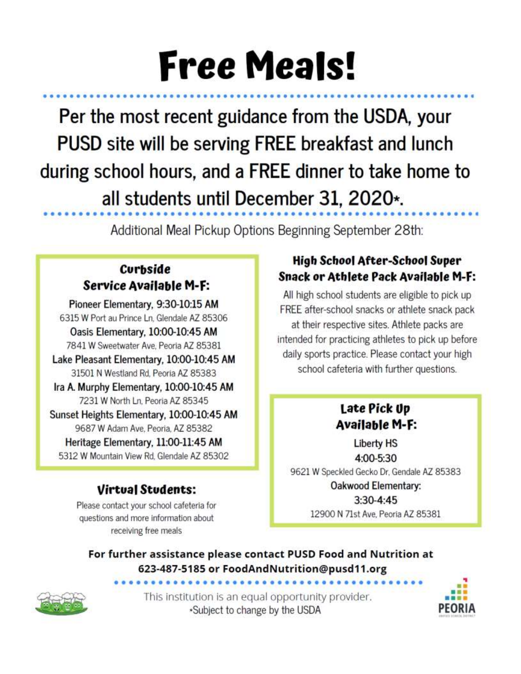# **Free Meals!**

Per the most recent guidance from the USDA, your PUSD site will be serving FREE breakfast and lunch during school hours, and a FREE dinner to take home to all students until December 31, 2020\*.

Additional Meal Pickup Options Beginning September 28th:

## **Curbside Service Available M-F:**

Pioneer Elementary, 9:30-10:15 AM 6315 W Port au Prince Ln, Glendale AZ 85306 Oasis Elementary, 10:00-10:45 AM 7841 W Sweetwater Ave, Peoria AZ 85381

Lake Pleasant Elementary, 10:00-10:45 AM 31501 N Westland Rd, Peoria AZ 85383 Ira A. Murphy Elementary, 10:00-10:45 AM

7231 W North Ln, Peoria AZ 85345

Sunset Heights Elementary, 10:00-10:45 AM 9687 W Adam Ave, Peoria, AZ 85382 Heritage Elementary, 11:00-11:45 AM

5312 W Mountain View Rd. Glendale AZ 85302

## **Virtual Students:**

Please contact your school cafeteria for questions and more information about receiving free meals

## **High School After-School Super** Snack or Athlete Pack Available M-F:

All high school students are eligible to pick up FREE after-school snacks or athlete snack pack at their respective sites. Athlete packs are intended for practicing athletes to pick up before daily sports practice. Please contact your high school cafeteria with further questions.

## Late Pick Up **Available M-F:**

**Liberty HS** 4:00-5:30 9621 W Speckled Gecko Dr, Gendale AZ 85383 Oakwood Elementary: 3:30-4:45

12900 N 71st Ave, Peoria AZ 85381

For further assistance please contact PUSD Food and Nutrition at 623-487-5185 or FoodAndNutrition@pusd11.org



This institution is an equal opportunity provider. \*Subject to change by the USDA

...................

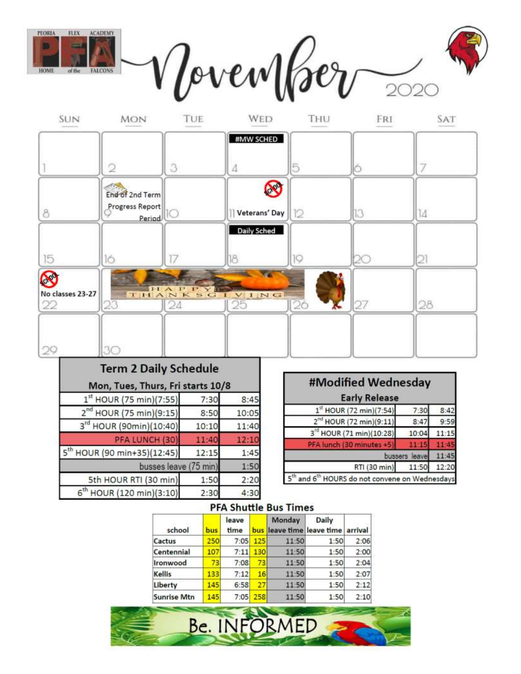

| <b>Term 2 Daily Schedule</b>            |       |       |
|-----------------------------------------|-------|-------|
| Mon, Tues, Thurs, Fri starts 10/8       |       |       |
| $1^{st}$ HOUR (75 min)(7:55)            | 7:30  | 8:45  |
| $2^{nd}$ HOUR (75 min)(9:15)            | 8:50  | 10:05 |
| 3rd HOUR (90min)(10:40)                 | 10:10 | 11:40 |
| PFA LUNCH (30)                          | 11:40 | 12:10 |
| 5 <sup>th</sup> HOUR (90 min+35)(12:45) | 12:15 | 1:45  |
| busses leave (75 min)                   |       | 1:50  |
| 5th HOUR RTI (30 min)                   | 1:50  | 2:20  |
| 6 <sup>th</sup> HOUR (120 min)(3:10)    | 2:30  | 4:30  |

| #Modified Wednesday                                    |       |       |
|--------------------------------------------------------|-------|-------|
| <b>Early Release</b>                                   |       |       |
| 1 <sup>st</sup> HOUR (72 min)(7:54)                    | 7:30  | 8:4   |
| 2 <sup>nd</sup> HOUR (72 min)(9:11)                    | 8:47  | 9:5!  |
| 3 <sup>rd</sup> HOUR (71 min)(10:28)                   | 10:04 |       |
| PFA lunch (30 minutes +5                               |       |       |
| bussers                                                | leave |       |
| RTI (30 min)                                           | 11:50 | 12:20 |
| and 6 <sup>th</sup> HOURS do not convene on Wednesdays |       |       |

#### **PFA Shuttle Bus Times**

| school             | bus | leave<br>time | bus | Monday | Daily<br>leave time leave time arrival |      |
|--------------------|-----|---------------|-----|--------|----------------------------------------|------|
| Cactus             | 250 | 7:05          | 125 | 11:50  | 1:50                                   | 2:06 |
| Centennial         | 107 | 7:11          | 130 | 11:50  | 1:50                                   | 2:00 |
| Ironwood           | 73  | 7:08          | 73  | 11:50  | 1:50                                   | 2:04 |
| <b>Kellis</b>      | 133 | 7:12          | 16  | 11:50  | 1:50                                   | 2:07 |
| Liberty            | 145 | 6:58          | 27  | 11:50  | 1:50                                   | 2:12 |
| <b>Sunrise Mtn</b> | 145 | 7:05          | 258 | 11:50  | 1:50                                   | 2:10 |